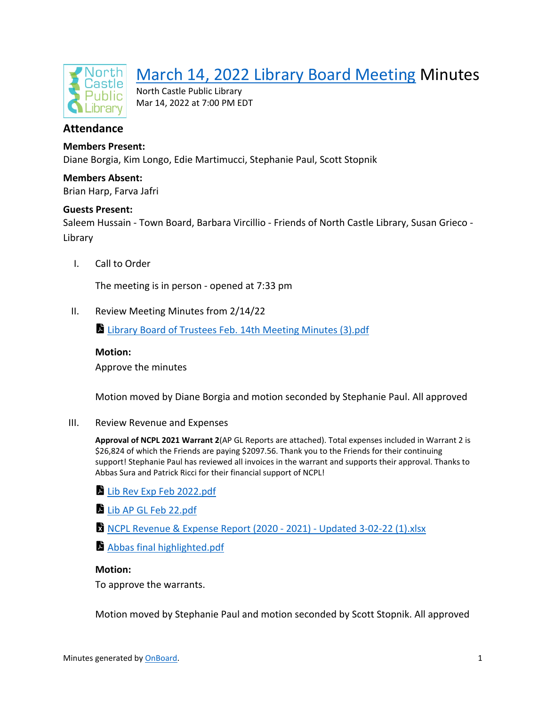

# [March 14, 2022 Library Board Meeting](https://app.onboardmeetings.com/e5c917df97bc46c8ad38fd8baf8b24da-151/meetingDetail/7dcf26148f69402e8c643ddbccec23bc-151) Minutes

North Castle Public Library Mar 14, 2022 at 7:00 PM EDT

# **Attendance**

# **Members Present:**

Diane Borgia, Kim Longo, Edie Martimucci, Stephanie Paul, Scott Stopnik

**Members Absent:** Brian Harp, Farva Jafri

# **Guests Present:**

Saleem Hussain - Town Board, Barbara Vircillio - Friends of North Castle Library, Susan Grieco - Library

I. Call to Order

The meeting is in person - opened at 7:33 pm

II. Review Meeting Minutes from 2/14/22

[Library Board of Trustees Feb. 14th Meeting Minutes \(3\).pdf](https://app.onboardmeetings.com/e5c917df97bc46c8ad38fd8baf8b24da-151/meetingBook/7dcf26148f69402e8c643ddbccec23bc-151?page=1)

# **Motion:**

Approve the minutes

Motion moved by Diane Borgia and motion seconded by Stephanie Paul. All approved

III. Review Revenue and Expenses

**Approval of NCPL 2021 Warrant 2**(AP GL Reports are attached). Total expenses included in Warrant 2 is \$26,824 of which the Friends are paying \$2097.56. Thank you to the Friends for their continuing support! Stephanie Paul has reviewed all invoices in the warrant and supports their approval. Thanks to Abbas Sura and Patrick Ricci for their financial support of NCPL!

- [Lib Rev Exp Feb 2022.pdf](https://app.onboardmeetings.com/e5c917df97bc46c8ad38fd8baf8b24da-151/meetingBook/7dcf26148f69402e8c643ddbccec23bc-151?page=6)
- [Lib AP GL Feb 22.pdf](https://app.onboardmeetings.com/e5c917df97bc46c8ad38fd8baf8b24da-151/meetingBook/7dcf26148f69402e8c643ddbccec23bc-151?page=10)
- **Z** [NCPL Revenue & Expense Report \(2020 2021\) Updated 3-02-22 \(1\).xlsx](https://app.onboardmeetings.com/e5c917df97bc46c8ad38fd8baf8b24da-151/meetingBook/7dcf26148f69402e8c643ddbccec23bc-151?page=15)
- [Abbas final highlighted.pdf](https://app.onboardmeetings.com/e5c917df97bc46c8ad38fd8baf8b24da-151/meetingBook/7dcf26148f69402e8c643ddbccec23bc-151?page=42)

# **Motion:**

To approve the warrants.

Motion moved by Stephanie Paul and motion seconded by Scott Stopnik. All approved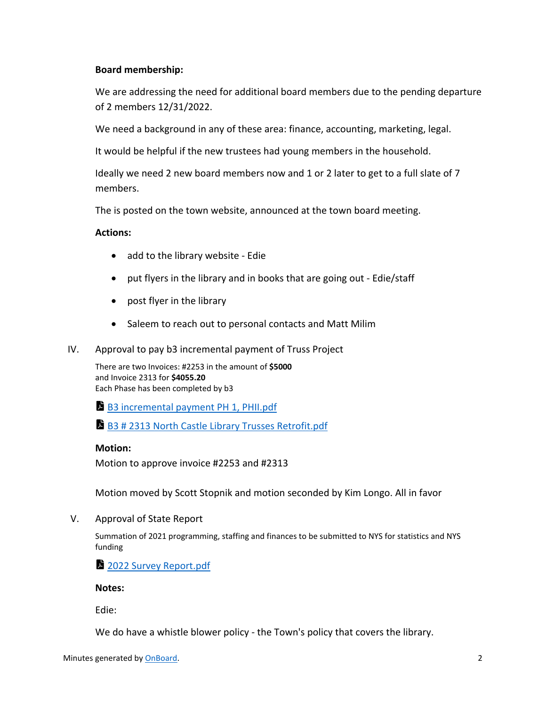# **Board membership:**

We are addressing the need for additional board members due to the pending departure of 2 members 12/31/2022.

We need a background in any of these area: finance, accounting, marketing, legal.

It would be helpful if the new trustees had young members in the household.

Ideally we need 2 new board members now and 1 or 2 later to get to a full slate of 7 members.

The is posted on the town website, announced at the town board meeting.

# **Actions:**

- add to the library website Edie
- put flyers in the library and in books that are going out Edie/staff
- post flyer in the library
- Saleem to reach out to personal contacts and Matt Milim
- IV. Approval to pay b3 incremental payment of Truss Project

There are two Invoices: #2253 in the amount of **\$5000** and Invoice 2313 for **\$4055.20** Each Phase has been completed by b3

[B3 incremental payment PH 1, PHII.pdf](https://app.onboardmeetings.com/e5c917df97bc46c8ad38fd8baf8b24da-151/meetingBook/7dcf26148f69402e8c643ddbccec23bc-151?page=43)

[B3 # 2313 North Castle Library Trusses Retrofit.pdf](https://app.onboardmeetings.com/e5c917df97bc46c8ad38fd8baf8b24da-151/meetingBook/7dcf26148f69402e8c643ddbccec23bc-151?page=44)

# **Motion:**

Motion to approve invoice #2253 and #2313

Motion moved by Scott Stopnik and motion seconded by Kim Longo. All in favor

V. Approval of State Report

Summation of 2021 programming, staffing and finances to be submitted to NYS for statistics and NYS funding

[2022 Survey Report.pdf](https://app.onboardmeetings.com/e5c917df97bc46c8ad38fd8baf8b24da-151/meetingBook/7dcf26148f69402e8c643ddbccec23bc-151?page=45)

**Notes:**

Edie:

We do have a whistle blower policy - the Town's policy that covers the library.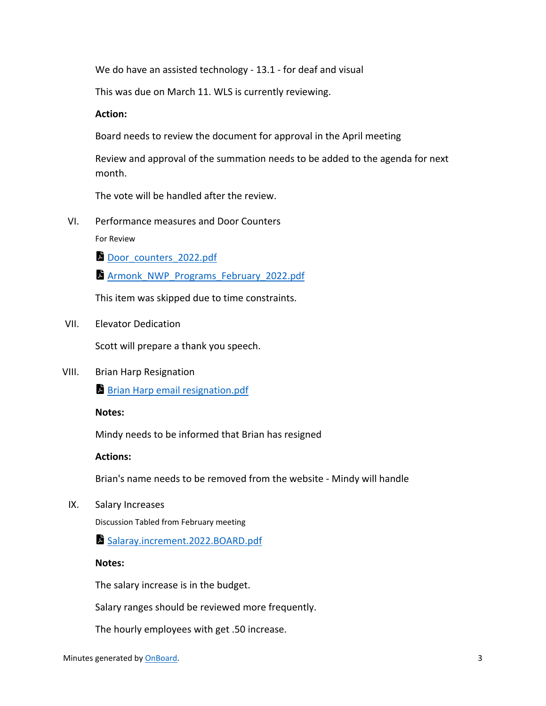We do have an assisted technology - 13.1 - for deaf and visual

This was due on March 11. WLS is currently reviewing.

#### **Action:**

Board needs to review the document for approval in the April meeting

Review and approval of the summation needs to be added to the agenda for next month.

The vote will be handled after the review.

VI. Performance measures and Door Counters

For Review

[Door\\_counters\\_2022.pdf](https://app.onboardmeetings.com/e5c917df97bc46c8ad38fd8baf8b24da-151/meetingBook/7dcf26148f69402e8c643ddbccec23bc-151?page=68)

Armonk NWP Programs February 2022.pdf

This item was skipped due to time constraints.

VII. Elevator Dedication

Scott will prepare a thank you speech.

VIII. Brian Harp Resignation

**[Brian Harp email resignation.pdf](https://app.onboardmeetings.com/e5c917df97bc46c8ad38fd8baf8b24da-151/meetingBook/7dcf26148f69402e8c643ddbccec23bc-151?page=70)** 

**Notes:**

Mindy needs to be informed that Brian has resigned

**Actions:**

Brian's name needs to be removed from the website - Mindy will handle

IX. Salary Increases

Discussion Tabled from February meeting

[Salaray.increment.2022.BOARD.pdf](https://app.onboardmeetings.com/e5c917df97bc46c8ad38fd8baf8b24da-151/meetingBook/7dcf26148f69402e8c643ddbccec23bc-151?page=71)

**Notes:**

The salary increase is in the budget.

Salary ranges should be reviewed more frequently.

The hourly employees with get .50 increase.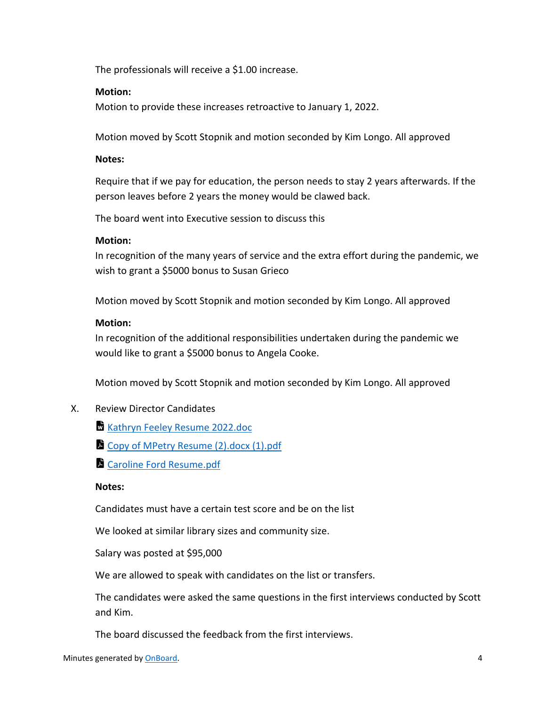The professionals will receive a \$1.00 increase.

#### **Motion:**

Motion to provide these increases retroactive to January 1, 2022.

Motion moved by Scott Stopnik and motion seconded by Kim Longo. All approved

#### **Notes:**

Require that if we pay for education, the person needs to stay 2 years afterwards. If the person leaves before 2 years the money would be clawed back.

The board went into Executive session to discuss this

#### **Motion:**

In recognition of the many years of service and the extra effort during the pandemic, we wish to grant a \$5000 bonus to Susan Grieco

Motion moved by Scott Stopnik and motion seconded by Kim Longo. All approved

#### **Motion:**

In recognition of the additional responsibilities undertaken during the pandemic we would like to grant a \$5000 bonus to Angela Cooke.

Motion moved by Scott Stopnik and motion seconded by Kim Longo. All approved

# X. Review Director Candidates

- [Kathryn Feeley Resume 2022.doc](https://app.onboardmeetings.com/e5c917df97bc46c8ad38fd8baf8b24da-151/meetingBook/7dcf26148f69402e8c643ddbccec23bc-151?page=72)
- [Copy of MPetry Resume \(2\).docx \(1\).pdf](https://app.onboardmeetings.com/e5c917df97bc46c8ad38fd8baf8b24da-151/meetingBook/7dcf26148f69402e8c643ddbccec23bc-151?page=75)
- **[Caroline Ford Resume.pdf](https://app.onboardmeetings.com/e5c917df97bc46c8ad38fd8baf8b24da-151/meetingBook/7dcf26148f69402e8c643ddbccec23bc-151?page=78)**

#### **Notes:**

Candidates must have a certain test score and be on the list

We looked at similar library sizes and community size.

Salary was posted at \$95,000

We are allowed to speak with candidates on the list or transfers.

The candidates were asked the same questions in the first interviews conducted by Scott and Kim.

The board discussed the feedback from the first interviews.